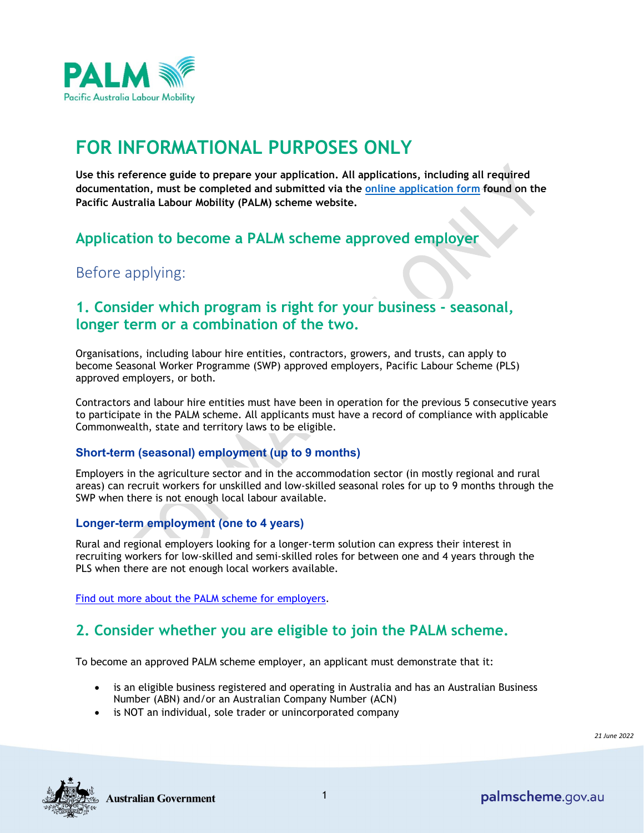

# **FOR INFORMATIONAL PURPOSES ONLY**

**Use this reference guide to prepare your application. All applications, including all required documentation, must be completed and submitted via the [online application form](https://www.palmscheme.gov.au/apply) found on the Pacific Australia Labour Mobility (PALM) scheme website.**

### **Application to become a PALM scheme approved employer**

Before applying:

### **1. Consider which program is right for your business - seasonal, longer term or a combination of the two.**

Organisations, including labour hire entities, contractors, growers, and trusts, can apply to become Seasonal Worker Programme (SWP) approved employers, Pacific Labour Scheme (PLS) approved employers, or both.

Contractors and labour hire entities must have been in operation for the previous 5 consecutive years to participate in the PALM scheme. All applicants must have a record of compliance with applicable Commonwealth, state and territory laws to be eligible.

#### **Short-term (seasonal) employment (up to 9 months)**

Employers in the agriculture sector and in the accommodation sector (in mostly regional and rural areas) can recruit workers for unskilled and low-skilled seasonal roles for up to 9 months through the SWP when there is not enough local labour available.

#### **Longer-term employment (one to 4 years)**

Rural and regional employers looking for a longer-term solution can express their interest in recruiting workers for low-skilled and semi-skilled roles for between one and 4 years through the PLS when there are not enough local workers available.

[Find out more about the PALM scheme for employers.](https://www.palmscheme.gov.au/employers)

### **2. Consider whether you are eligible to join the PALM scheme.**

To become an approved PALM scheme employer, an applicant must demonstrate that it:

- is an eligible business registered and operating in Australia and has an Australian Business Number (ABN) and/or an Australian Company Number (ACN)
- is NOT an individual, sole trader or unincorporated company

*21 June 2022*

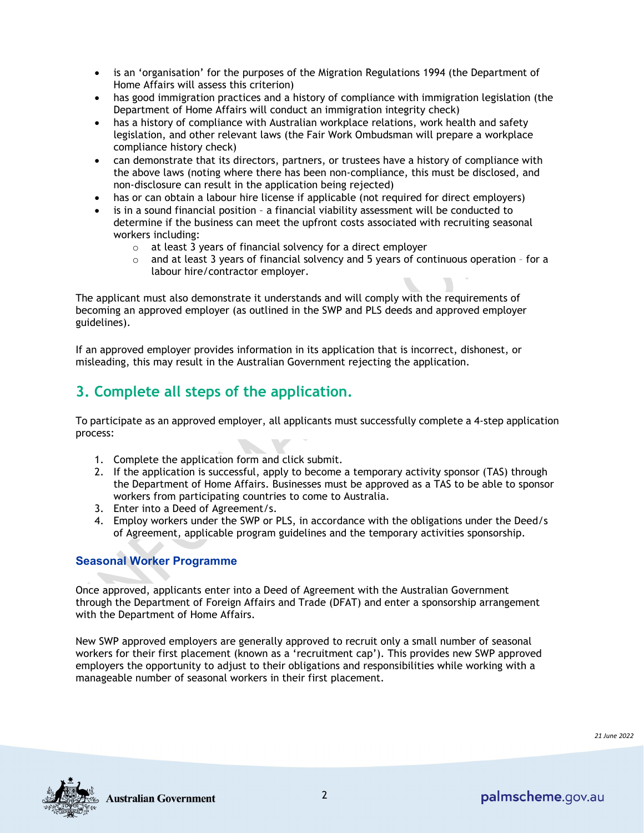- is an 'organisation' for the purposes of the Migration Regulations 1994 (the Department of Home Affairs will assess this criterion)
- has good immigration practices and a history of compliance with immigration legislation (the Department of Home Affairs will conduct an immigration integrity check)
- has a history of compliance with Australian workplace relations, work health and safety legislation, and other relevant laws (the Fair Work Ombudsman will prepare a workplace compliance history check)
- can demonstrate that its directors, partners, or trustees have a history of compliance with the above laws (noting where there has been non-compliance, this must be disclosed, and non-disclosure can result in the application being rejected)
- has or can obtain a labour hire license if applicable (not required for direct employers)
- is in a sound financial position a financial viability assessment will be conducted to determine if the business can meet the upfront costs associated with recruiting seasonal workers including:
	- o at least 3 years of financial solvency for a direct employer
	- $\circ$  and at least 3 years of financial solvency and 5 years of continuous operation for a labour hire/contractor employer.

The applicant must also demonstrate it understands and will comply with the requirements of becoming an approved employer (as outlined in the SWP and PLS deeds and approved employer guidelines).

If an approved employer provides information in its application that is incorrect, dishonest, or misleading, this may result in the Australian Government rejecting the application.

# **3. Complete all steps of the application.**

To participate as an approved employer, all applicants must successfully complete a 4-step application process:

- 1. Complete the application form and click submit.
- 2. If the application is successful, apply to become a temporary activity sponsor (TAS) through the Department of Home Affairs. Businesses must be approved as a TAS to be able to sponsor workers from participating countries to come to Australia.
- 3. Enter into a Deed of Agreement/s.
- 4. Employ workers under the SWP or PLS, in accordance with the obligations under the Deed/s of Agreement, applicable program guidelines and the temporary activities sponsorship.

#### **Seasonal Worker Programme**

Once approved, applicants enter into a Deed of Agreement with the Australian Government through the Department of Foreign Affairs and Trade (DFAT) and enter a sponsorship arrangement with the Department of Home Affairs.

New SWP approved employers are generally approved to recruit only a small number of seasonal workers for their first placement (known as a 'recruitment cap'). This provides new SWP approved employers the opportunity to adjust to their obligations and responsibilities while working with a manageable number of seasonal workers in their first placement.

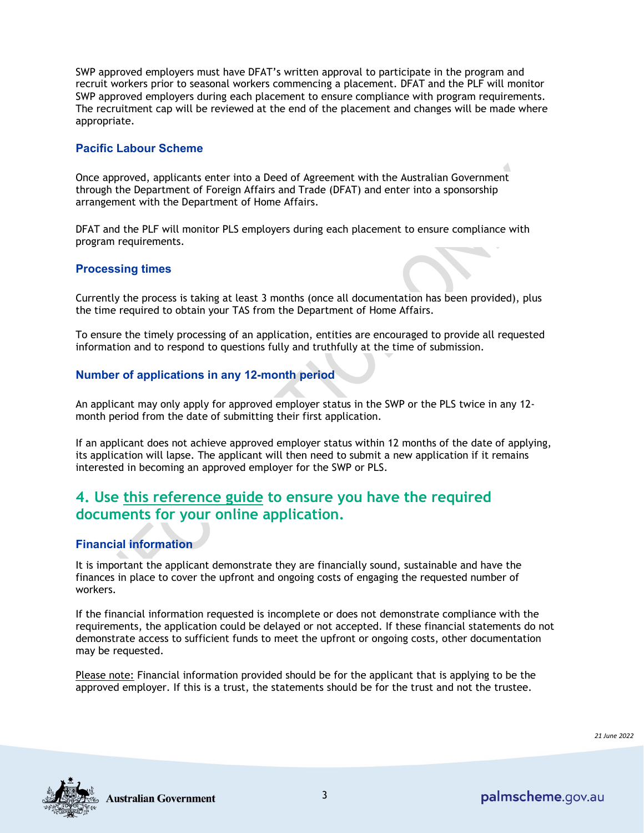SWP approved employers must have DFAT's written approval to participate in the program and recruit workers prior to seasonal workers commencing a placement. DFAT and the PLF will monitor SWP approved employers during each placement to ensure compliance with program requirements. The recruitment cap will be reviewed at the end of the placement and changes will be made where appropriate.

#### **Pacific Labour Scheme**

Once approved, applicants enter into a Deed of Agreement with the Australian Government through the Department of Foreign Affairs and Trade (DFAT) and enter into a sponsorship arrangement with the Department of Home Affairs.

DFAT and the PLF will monitor PLS employers during each placement to ensure compliance with program requirements.

#### **Processing times**

Currently the process is taking at least 3 months (once all documentation has been provided), plus the time required to obtain your TAS from the Department of Home Affairs.

To ensure the timely processing of an application, entities are encouraged to provide all requested information and to respond to questions fully and truthfully at the time of submission.

#### **Number of applications in any 12-month period**

An applicant may only apply for approved employer status in the SWP or the PLS twice in any 12 month period from the date of submitting their first application.

If an applicant does not achieve approved employer status within 12 months of the date of applying, its application will lapse. The applicant will then need to submit a new application if it remains interested in becoming an approved employer for the SWP or PLS.

### **4. Use this reference guide to ensure you have the required documents for your online application.**

#### **Financial information**

It is important the applicant demonstrate they are financially sound, sustainable and have the finances in place to cover the upfront and ongoing costs of engaging the requested number of workers.

If the financial information requested is incomplete or does not demonstrate compliance with the requirements, the application could be delayed or not accepted. If these financial statements do not demonstrate access to sufficient funds to meet the upfront or ongoing costs, other documentation may be requested.

Please note: Financial information provided should be for the applicant that is applying to be the approved employer. If this is a trust, the statements should be for the trust and not the trustee.

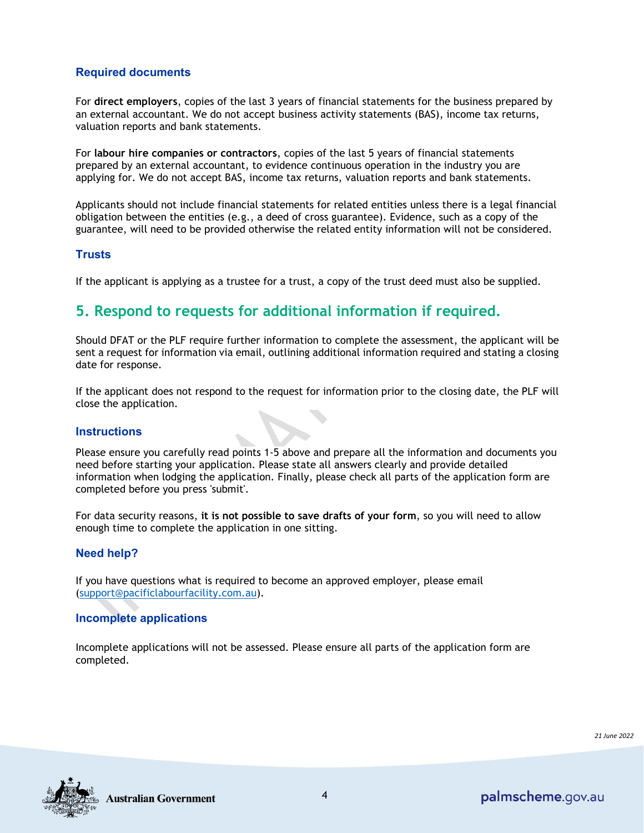#### **Required documents**

For **direct employers**, copies of the last 3 years of financial statements for the business prepared by an external accountant. We do not accept business activity statements (BAS), income tax returns, valuation reports and bank statements.

For **labour hire companies or contractors**, copies of the last 5 years of financial statements prepared by an external accountant, to evidence continuous operation in the industry you are applying for. We do not accept BAS, income tax returns, valuation reports and bank statements.

Applicants should not include financial statements for related entities unless there is a legal financial obligation between the entities (e.g., a deed of cross guarantee). Evidence, such as a copy of the guarantee, will need to be provided otherwise the related entity information will not be considered.

#### **Trusts**

If the applicant is applying as a trustee for a trust, a copy of the trust deed must also be supplied.

### **5. Respond to requests for additional information if required.**

Should DFAT or the PLF require further information to complete the assessment, the applicant will be sent a request for information via email, outlining additional information required and stating a closing date for response.

If the applicant does not respond to the request for information prior to the closing date, the PLF will close the application.

#### **Instructions**

Please ensure you carefully read points 1-5 above and prepare all the information and documents you need before starting your application. Please state all answers clearly and provide detailed information when lodging the application. Finally, please check all parts of the application form are completed before you press 'submit'.

For data security reasons, **it is not possible to save drafts of your form**, so you will need to allow enough time to complete the application in one sitting.

#### **Need help?**

If you have questions what is required to become an approved employer, please email [\(support@pacificlabourfacility.com.au\)](mailto:support@pacificlabourfacility.com.au).

#### **Incomplete applications**

Incomplete applications will not be assessed. Please ensure all parts of the application form are completed.

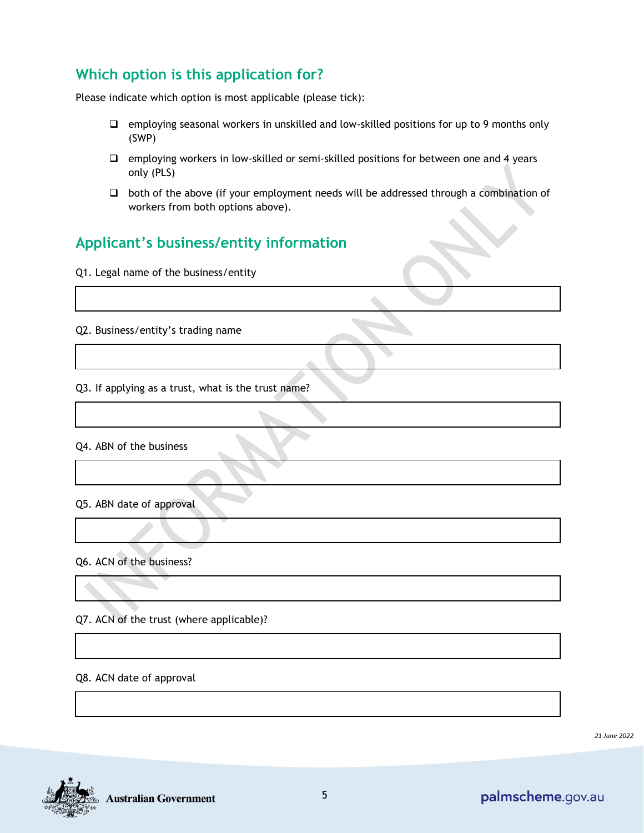# **Which option is this application for?**

Please indicate which option is most applicable (please tick):

- $\Box$  employing seasonal workers in unskilled and low-skilled positions for up to 9 months only (SWP)
- $\Box$  employing workers in low-skilled or semi-skilled positions for between one and 4 years only (PLS)
- $\Box$  both of the above (if your employment needs will be addressed through a combination of workers from both options above).

## **Applicant's business/entity information**

Q1. Legal name of the business/entity

Q2. Business/entity's trading name

Q3. If applying as a trust, what is the trust name?

Q4. ABN of the business

Q5. ABN date of approval

Q6. ACN of the business?

Q7. ACN of the trust (where applicable)?

Q8. ACN date of approval

*21 June 2022*

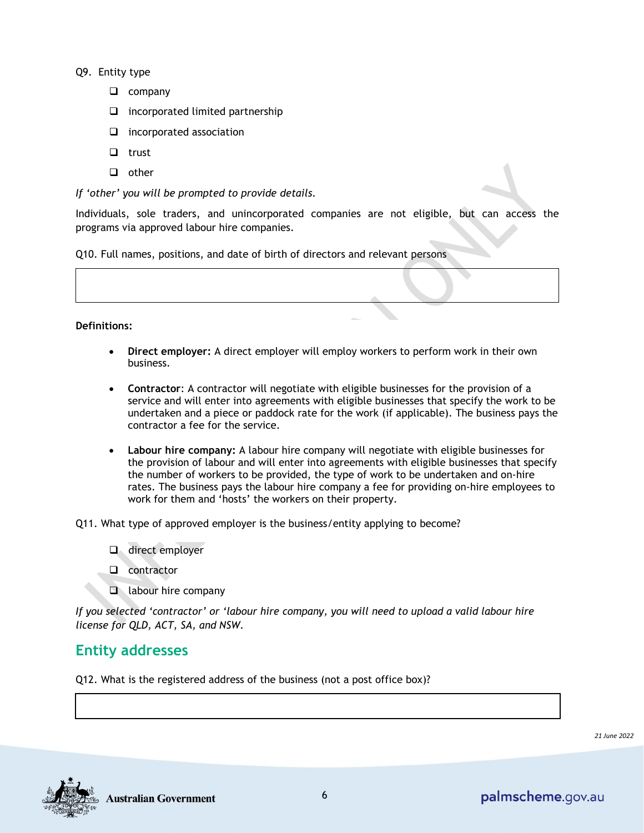Q9. Entity type

- $\Box$  company
- $\Box$  incorporated limited partnership
- $\Box$  incorporated association
- $\Box$  trust
- $\Box$  other

*If 'other' you will be prompted to provide details.*

Individuals, sole traders, and unincorporated companies are not eligible, but can access the programs [via approved labour hire companies.](https://www.palmscheme.gov.au/current-employers)

Q10. Full names, positions, and date of birth of directors and relevant persons



- **Direct employer:** A direct employer will employ workers to perform work in their own business.
- **Contractor**: A contractor will negotiate with eligible businesses for the provision of a service and will enter into agreements with eligible businesses that specify the work to be undertaken and a piece or paddock rate for the work (if applicable). The business pays the contractor a fee for the service.
- **Labour hire company:** A labour hire company will negotiate with eligible businesses for the provision of labour and will enter into agreements with eligible businesses that specify the number of workers to be provided, the type of work to be undertaken and on-hire rates. The business pays the labour hire company a fee for providing on-hire employees to work for them and 'hosts' the workers on their property.

Q11. What type of approved employer is the business/entity applying to become?

- direct employer
- **Q** contractor
- **a** labour hire company

*If you selected 'contractor' or 'labour hire company, you will need to upload a valid labour hire license for QLD, ACT, SA, and NSW.*

### **Entity addresses**

Q12. What is the registered address of the business (not a post office box)?

*21 June 2022*

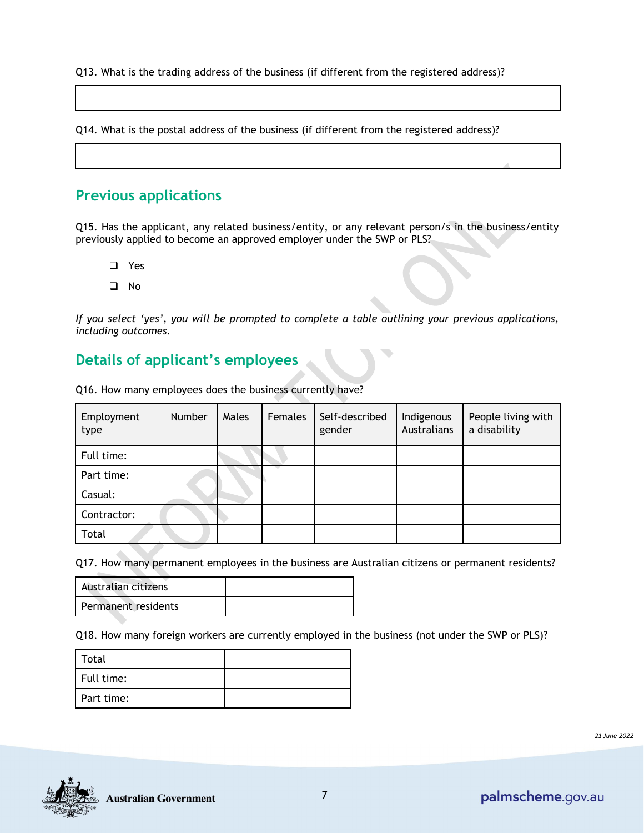Q13. What is the trading address of the business (if different from the registered address)?

Q14. What is the postal address of the business (if different from the registered address)?

### **Previous applications**

Q15. Has the applicant, any related business/entity, or any relevant person/s in the business/entity previously applied to become an approved employer under the SWP or PLS?

- □ Yes
- No

*If you select 'yes', you will be prompted to complete a table outlining your previous applications, including outcomes.* 

### **Details of applicant's employees**

| Employment<br>type | Number | Males | Females | Self-described<br>gender | Indigenous<br>Australians | People living with<br>a disability |
|--------------------|--------|-------|---------|--------------------------|---------------------------|------------------------------------|
| Full time:         |        |       |         |                          |                           |                                    |
| Part time:         |        |       |         |                          |                           |                                    |
| Casual:            |        |       |         |                          |                           |                                    |
| Contractor:        |        |       |         |                          |                           |                                    |
| Total              |        |       |         |                          |                           |                                    |

Q16. How many employees does the business currently have?

Q17. How many permanent employees in the business are Australian citizens or permanent residents?

| Australian citizens |  |
|---------------------|--|
| Permanent residents |  |

Q18. How many foreign workers are currently employed in the business (not under the SWP or PLS)?

| Total      |  |
|------------|--|
| Full time: |  |
| Part time: |  |

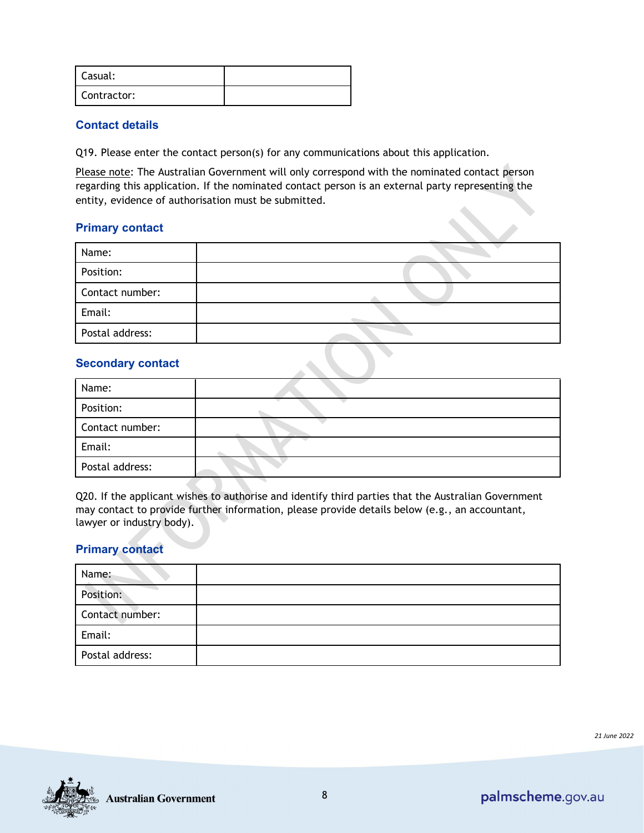| Casual:     |  |
|-------------|--|
| Contractor: |  |

#### **Contact details**

Q19. Please enter the contact person(s) for any communications about this application.

Please note: The Australian Government will only correspond with the nominated contact person regarding this application. If the nominated contact person is an external party representing the entity, evidence of authorisation must be submitted.

#### **Primary contact**

| Name:           |  |
|-----------------|--|
| Position:       |  |
| Contact number: |  |
| Email:          |  |
| Postal address: |  |

#### **Secondary contact**

| Name:           |  |
|-----------------|--|
| Position:       |  |
| Contact number: |  |
| Email:          |  |
| Postal address: |  |

Q20. If the applicant wishes to authorise and identify third parties that the Australian Government may contact to provide further information, please provide details below (e.g., an accountant, lawyer or industry body).

#### **Primary contact**

| Name:           |  |
|-----------------|--|
| Position:       |  |
| Contact number: |  |
| Email:          |  |
| Postal address: |  |

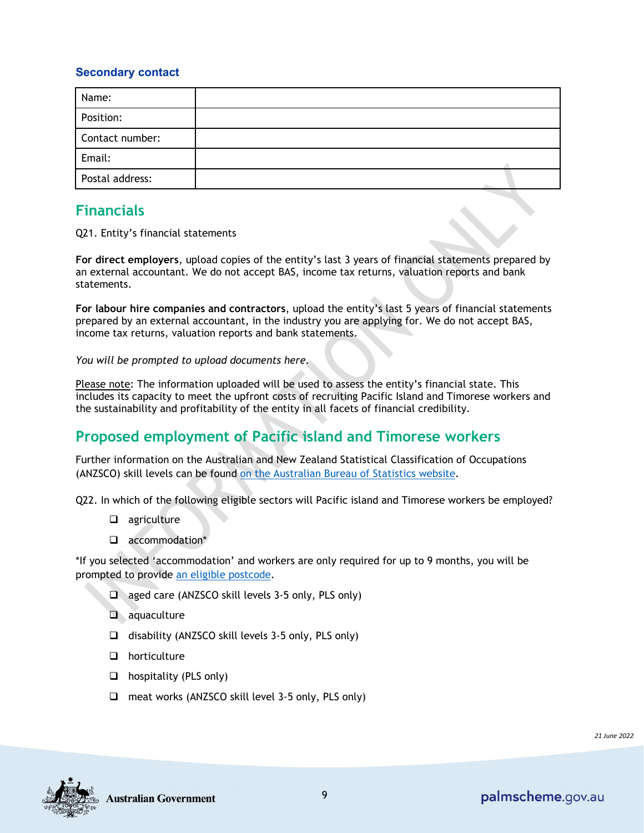#### **Secondary contact**

| Name:           |  |
|-----------------|--|
| Position:       |  |
| Contact number: |  |
| Email:          |  |
| Postal address: |  |

### **Financials**

Q21. Entity's financial statements

**For direct employers**, upload copies of the entity's last 3 years of financial statements prepared by an external accountant. We do not accept BAS, income tax returns, valuation reports and bank statements.

**For labour hire companies and contractors**, upload the entity's last 5 years of financial statements prepared by an external accountant, in the industry you are applying for. We do not accept BAS, income tax returns, valuation reports and bank statements.

*You will be prompted to upload documents here.* 

Please note: The information uploaded will be used to assess the entity's financial state. This includes its capacity to meet the upfront costs of recruiting Pacific Island and Timorese workers and the sustainability and profitability of the entity in all facets of financial credibility.

### **Proposed employment of Pacific island and Timorese workers**

Further information on the Australian and New Zealand Statistical Classification of Occupations (ANZSCO) skill levels can be found [on](https://www.abs.gov.au/ausstats/abs@.nsf/0/598C2E23628BB8FDCA2575DF002DA6B8?opendocument) the Australian Bureau of Statistics website.

Q22. In which of the following eligible sectors will Pacific island and Timorese workers be employed?

- agriculture
- accommodation\*

\*If you selected 'accommodation' and workers are only required for up to 9 months, you will be prompted to provide [an eligible postcode.](https://www.palmscheme.gov.au/eligibility)

- $\Box$  aged care (ANZSCO skill levels 3-5 only, PLS only)
- aquaculture
- $\Box$  disability (ANZSCO skill levels 3-5 only, PLS only)
- $\Box$  horticulture
- $\Box$  hospitality (PLS only)
- $\Box$  meat works (ANZSCO skill level 3-5 only, PLS only)

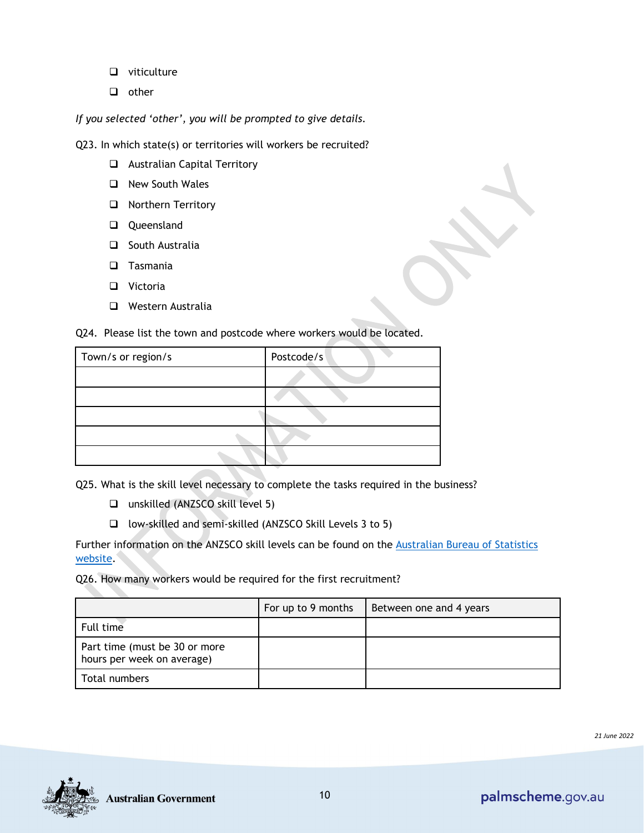- $\Box$  viticulture
- $\Box$  other

*If you selected 'other', you will be prompted to give details.* 

Q23. In which state(s) or territories will workers be recruited?

- **Q** Australian Capital Territory
- □ New South Wales
- **Northern Territory**
- Queensland
- $\Box$  South Australia
- **D** Tasmania
- □ Victoria
- **Q** Western Australia

| Postcode/s |
|------------|
|            |
|            |
|            |
|            |
|            |
|            |

Q24. Please list the town and postcode where workers would be located.

Q25. What is the skill level necessary to complete the tasks required in the business?

- unskilled (ANZSCO skill level 5)
- $\Box$  low-skilled and semi-skilled (ANZSCO Skill Levels 3 to 5)

Further information on the ANZSCO skill levels can be found on the [Australian Bureau of Statistics](https://www.abs.gov.au/ausstats/abs@.nsf/0/598C2E23628BB8FDCA2575DF002DA6B8?opendocument)  [website.](https://www.abs.gov.au/ausstats/abs@.nsf/0/598C2E23628BB8FDCA2575DF002DA6B8?opendocument)

Q26. How many workers would be required for the first recruitment?

|                                                             | For up to 9 months | Between one and 4 years |
|-------------------------------------------------------------|--------------------|-------------------------|
| Full time                                                   |                    |                         |
| Part time (must be 30 or more<br>hours per week on average) |                    |                         |
| Total numbers                                               |                    |                         |

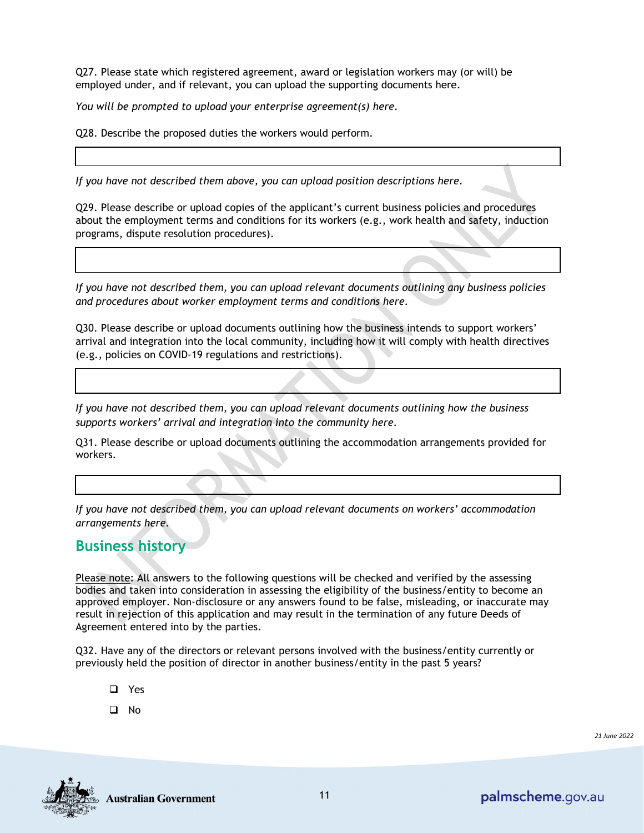Q27. Please state which registered agreement, award or legislation workers may (or will) be employed under, and if relevant, you can upload the supporting documents here.

*You will be prompted to upload your enterprise agreement(s) here.*

Q28. Describe the proposed duties the workers would perform.

*If you have not described them above, you can upload position descriptions here.*

Q29. Please describe or upload copies of the applicant's current business policies and procedures about the employment terms and conditions for its workers (e.g., work health and safety, induction programs, dispute resolution procedures).

*If you have not described them, you can upload relevant documents outlining any business policies and procedures about worker employment terms and conditions here.*

Q30. Please describe or upload documents outlining how the business intends to support workers' arrival and integration into the local community, including how it will comply with health directives (e.g., policies on COVID-19 regulations and restrictions).

*If you have not described them, you can upload relevant documents outlining how the business supports workers' arrival and integration into the community here.*

Q31. Please describe or upload documents outlining the accommodation arrangements provided for workers.

*If you have not described them, you can upload relevant documents on workers' accommodation arrangements here.*

### **Business history**

Please note: All answers to the following questions will be checked and verified by the assessing bodies and taken into consideration in assessing the eligibility of the business/entity to become an approved employer. Non-disclosure or any answers found to be false, misleading, or inaccurate may result in rejection of this application and may result in the termination of any future Deeds of Agreement entered into by the parties.

Q32. Have any of the directors or relevant persons involved with the business/entity currently or previously held the position of director in another business/entity in the past 5 years?

- □ Yes
- No

*21 June 2022*

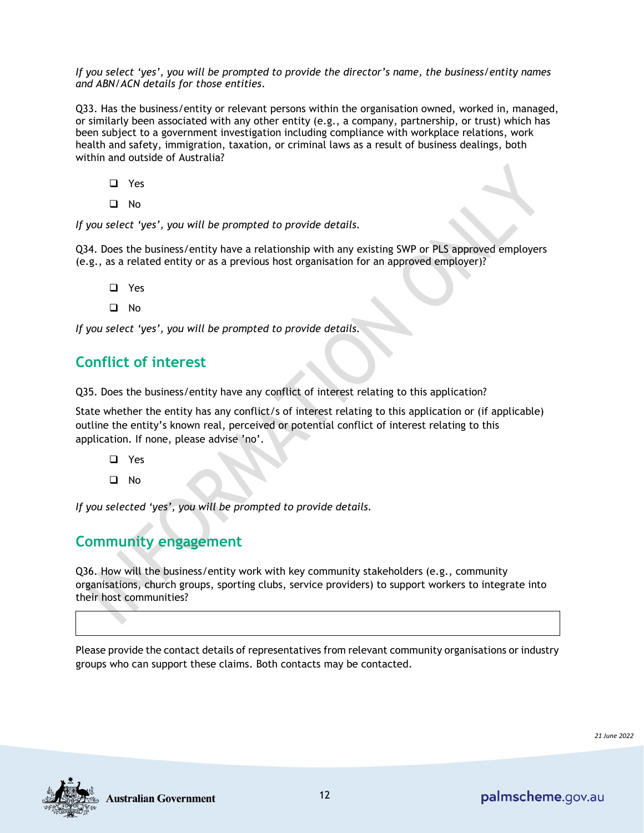*If you select 'yes', you will be prompted to provide the director's name, the business/entity names and ABN/ACN details for those entities*.

Q33. Has the business/entity or relevant persons within the organisation owned, worked in, managed, or similarly been associated with any other entity (e.g., a company, partnership, or trust) which has been subject to a government investigation including compliance with workplace relations, work health and safety, immigration, taxation, or criminal laws as a result of business dealings, both within and outside of Australia?

- □ Yes
- No

*If you select 'yes', you will be prompted to provide details.*

Q34. Does the business/entity have a relationship with any existing SWP or PLS approved employers (e.g., as a related entity or as a previous host organisation for an approved employer)?

- □ Yes
- $\Box$  No

*If you select 'yes', you will be prompted to provide details.*

### **Conflict of interest**

Q35. Does the business/entity have any conflict of interest relating to this application?

State whether the entity has any conflict/s of interest relating to this application or (if applicable) outline the entity's known real, perceived or potential conflict of interest relating to this application. If none, please advise 'no'.

- Yes
- $\Box$  No

*If you selected 'yes', you will be prompted to provide details.*

### **Community engagement**

Q36. How will the business/entity work with key community stakeholders (e.g., community organisations, church groups, sporting clubs, service providers) to support workers to integrate into their host communities?

Please provide the contact details of representatives from relevant community organisations or industry groups who can support these claims. Both contacts may be contacted.

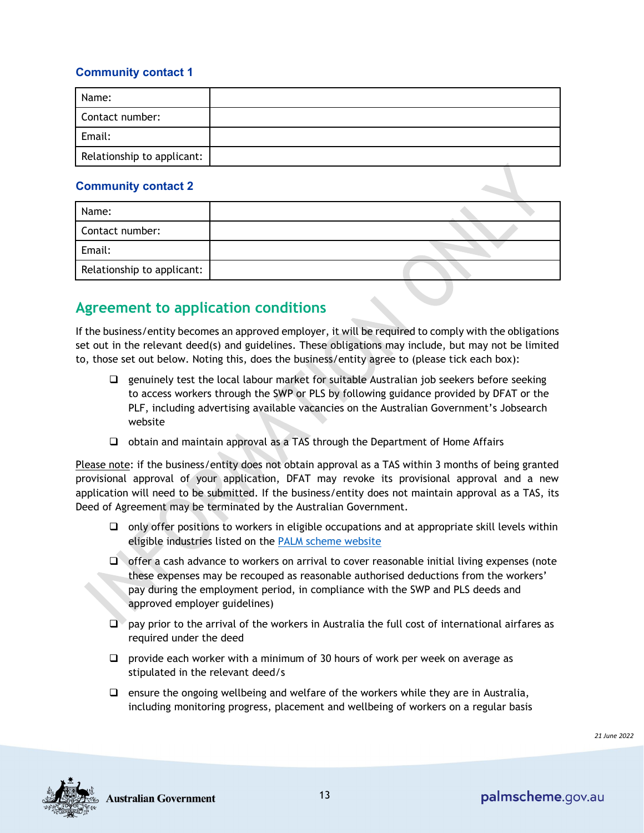#### **Community contact 1**

| Name:                      |  |
|----------------------------|--|
| Contact number:            |  |
| Email:                     |  |
| Relationship to applicant: |  |

#### **Community contact 2**

| Name:                      |  |
|----------------------------|--|
| Contact number:            |  |
| Email:                     |  |
| Relationship to applicant: |  |

### **Agreement to application conditions**

If the business/entity becomes an approved employer, it will be required to comply with the obligations set out in the relevant deed(s) and guidelines. These obligations may include, but may not be limited to, those set out below. Noting this, does the business/entity agree to (please tick each box):

- $\Box$  genuinely test the local labour market for suitable Australian job seekers before seeking to access workers through the SWP or PLS by following guidance provided by DFAT or the PLF, including advertising available vacancies on the Australian Government's Jobsearch website
- $\Box$  obtain and maintain approval as a TAS through the Department of Home Affairs

Please note: if the business/entity does not obtain approval as a TAS within 3 months of being granted provisional approval of your application, DFAT may revoke its provisional approval and a new application will need to be submitted. If the business/entity does not maintain approval as a TAS, its Deed of Agreement may be terminated by the Australian Government.

- $\Box$  only offer positions to workers in eligible occupations and at appropriate skill levels within eligible industries listed on the [PALM scheme website](https://www.palmscheme.gov.au/employers)
- $\Box$  offer a cash advance to workers on arrival to cover reasonable initial living expenses (note these expenses may be recouped as reasonable authorised deductions from the workers' pay during the employment period, in compliance with the SWP and PLS deeds and approved employer guidelines)
- $\Box$  pay prior to the arrival of the workers in Australia the full cost of international airfares as required under the deed
- $\Box$  provide each worker with a minimum of 30 hours of work per week on average as stipulated in the relevant deed/s
- $\Box$  ensure the ongoing wellbeing and welfare of the workers while they are in Australia, including monitoring progress, placement and wellbeing of workers on a regular basis



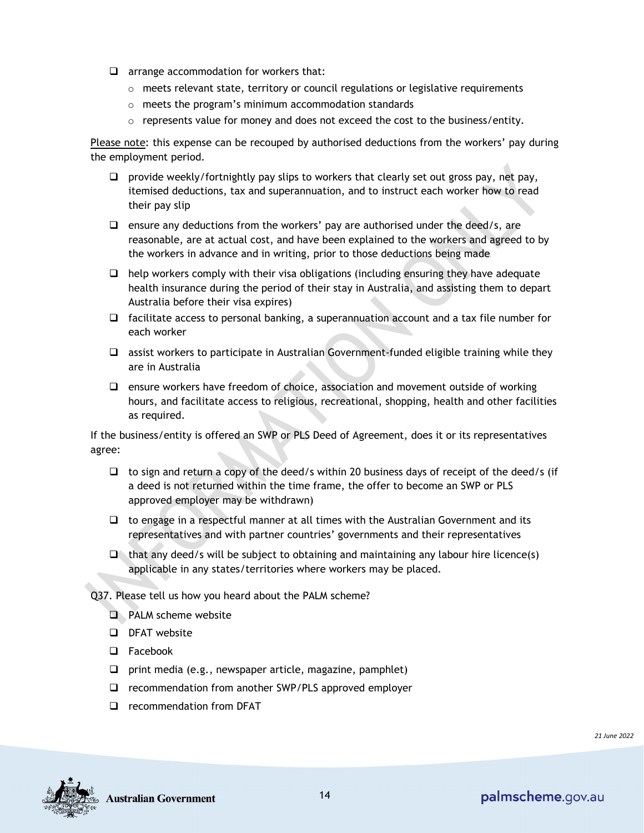- $\Box$  arrange accommodation for workers that:
	- $\circ$  meets relevant state, territory or council regulations or legislative requirements
	- o meets the program's minimum accommodation standards
	- $\circ$  represents value for money and does not exceed the cost to the business/entity.

Please note: this expense can be recouped by authorised deductions from the workers' pay during the employment period.

- $\Box$  provide weekly/fortnightly pay slips to workers that clearly set out gross pay, net pay, itemised deductions, tax and superannuation, and to instruct each worker how to read their pay slip
- $\Box$  ensure any deductions from the workers' pay are authorised under the deed/s, are reasonable, are at actual cost, and have been explained to the workers and agreed to by the workers in advance and in writing, prior to those deductions being made
- $\Box$  help workers comply with their visa obligations (including ensuring they have adequate health insurance during the period of their stay in Australia, and assisting them to depart Australia before their visa expires)
- $\Box$  facilitate access to personal banking, a superannuation account and a tax file number for each worker
- $\Box$  assist workers to participate in Australian Government-funded eligible training while they are in Australia
- $\Box$  ensure workers have freedom of choice, association and movement outside of working hours, and facilitate access to religious, recreational, shopping, health and other facilities as required.

If the business/entity is offered an SWP or PLS Deed of Agreement, does it or its representatives agree:

- $\Box$  to sign and return a copy of the deed/s within 20 business days of receipt of the deed/s (if a deed is not returned within the time frame, the offer to become an SWP or PLS approved employer may be withdrawn)
- $\Box$  to engage in a respectful manner at all times with the Australian Government and its representatives and with partner countries' governments and their representatives
- $\Box$  that any deed/s will be subject to obtaining and maintaining any labour hire licence(s) applicable in any states/territories where workers may be placed.

Q37. Please tell us how you heard about the PALM scheme?

- **D** PALM scheme website
- DFAT website
- □ Facebook
- $\Box$  print media (e.g., newspaper article, magazine, pamphlet)
- □ recommendation from another SWP/PLS approved employer
- □ recommendation from DFAT

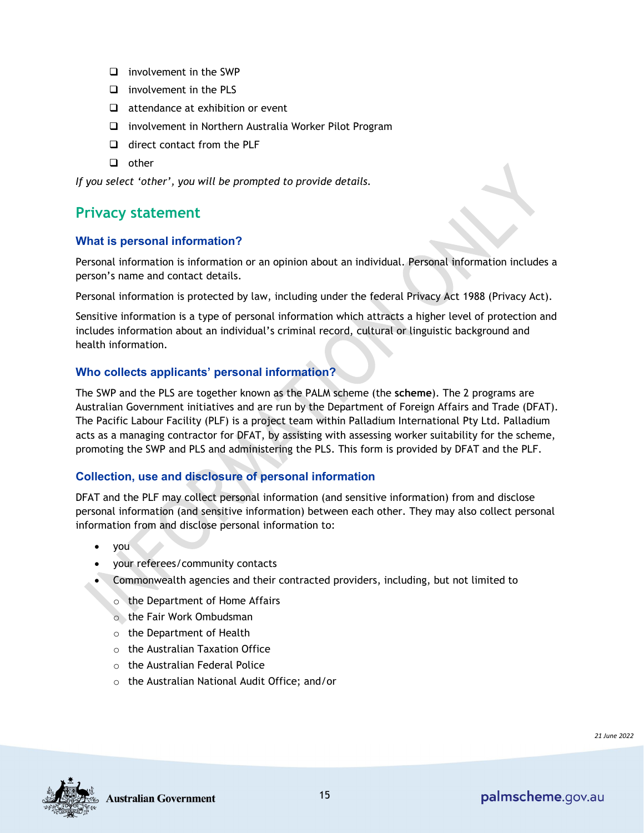- $\Box$  involvement in the SWP
- $\Box$  involvement in the PLS
- $\Box$  attendance at exhibition or event
- □ involvement in Northern Australia Worker Pilot Program
- $\Box$  direct contact from the PLF
- $\Box$  other

*If you select 'other', you will be prompted to provide details.* 

### **Privacy statement**

#### **What is personal information?**

Personal information is information or an opinion about an individual. Personal information includes a person's name and contact details.

Personal information is protected by law, including under the federal Privacy Act 1988 (Privacy Act).

Sensitive information is a type of personal information which attracts a higher level of protection and includes information about an individual's criminal record, cultural or linguistic background and health information.

#### **Who collects applicants' personal information?**

The SWP and the PLS are together known as the PALM scheme (the **scheme**). The 2 programs are Australian Government initiatives and are run by the Department of Foreign Affairs and Trade (DFAT). The Pacific Labour Facility (PLF) is a project team within Palladium International Pty Ltd. Palladium acts as a managing contractor for DFAT, by assisting with assessing worker suitability for the scheme, promoting the SWP and PLS and administering the PLS. This form is provided by DFAT and the PLF.

#### **Collection, use and disclosure of personal information**

DFAT and the PLF may collect personal information (and sensitive information) from and disclose personal information (and sensitive information) between each other. They may also collect personal information from and disclose personal information to:

- you
- your referees/community contacts
- Commonwealth agencies and their contracted providers, including, but not limited to
	- o the Department of Home Affairs
	- o the Fair Work Ombudsman
	- o the Department of Health
	- $\circ$  the Australian Taxation Office
	- o the Australian Federal Police
	- o the Australian National Audit Office; and/or

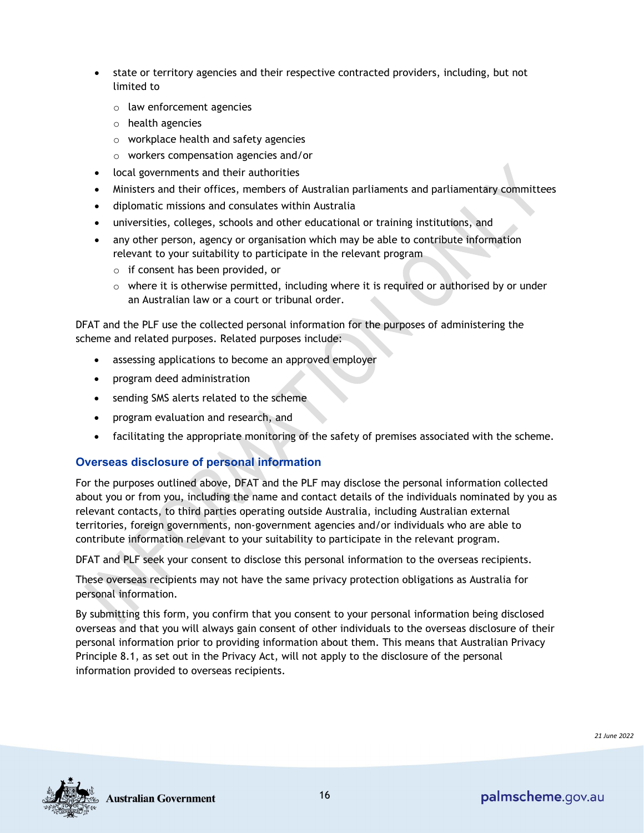- state or territory agencies and their respective contracted providers, including, but not limited to
	- o law enforcement agencies
	- o health agencies
	- o workplace health and safety agencies
	- o workers compensation agencies and/or
- local governments and their authorities
- Ministers and their offices, members of Australian parliaments and parliamentary committees
- diplomatic missions and consulates within Australia
- universities, colleges, schools and other educational or training institutions, and
- any other person, agency or organisation which may be able to contribute information relevant to your suitability to participate in the relevant program
	- o if consent has been provided, or
	- $\circ$  where it is otherwise permitted, including where it is required or authorised by or under an Australian law or a court or tribunal order.

DFAT and the PLF use the collected personal information for the purposes of administering the scheme and related purposes. Related purposes include:

- assessing applications to become an approved employer
- program deed administration
- sending SMS alerts related to the scheme
- program evaluation and research, and
- facilitating the appropriate monitoring of the safety of premises associated with the scheme.

#### **Overseas disclosure of personal information**

For the purposes outlined above, DFAT and the PLF may disclose the personal information collected about you or from you, including the name and contact details of the individuals nominated by you as relevant contacts, to third parties operating outside Australia, including Australian external territories, foreign governments, non-government agencies and/or individuals who are able to contribute information relevant to your suitability to participate in the relevant program.

DFAT and PLF seek your consent to disclose this personal information to the overseas recipients.

These overseas recipients may not have the same privacy protection obligations as Australia for personal information.

By submitting this form, you confirm that you consent to your personal information being disclosed overseas and that you will always gain consent of other individuals to the overseas disclosure of their personal information prior to providing information about them. This means that Australian Privacy Principle 8.1, as set out in the Privacy Act, will not apply to the disclosure of the personal information provided to overseas recipients.



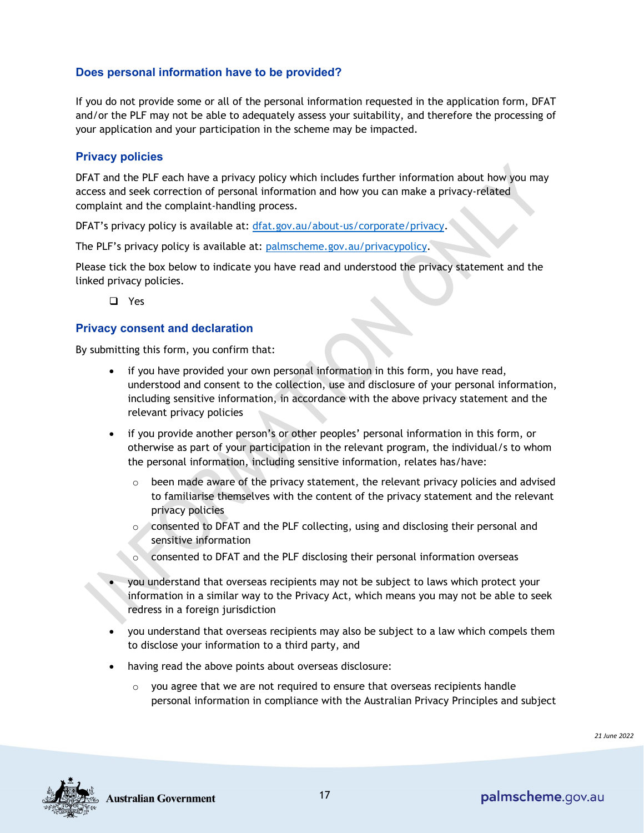#### **Does personal information have to be provided?**

If you do not provide some or all of the personal information requested in the application form, DFAT and/or the PLF may not be able to adequately assess your suitability, and therefore the processing of your application and your participation in the scheme may be impacted.

#### **Privacy policies**

DFAT and the PLF each have a privacy policy which includes further information about how you may access and seek correction of personal information and how you can make a privacy-related complaint and the complaint-handling process.

DFAT's privacy policy is available at: [dfat.gov.au/about-us/corporate/privacy.](https://dfat.gov.au/about-us/corporate/privacy/Pages/privacy.aspx)

The PLF's privacy policy is available at: [palmscheme.gov.au/privacypolicy.](https://www.palmscheme.gov.au/privacypolicy)

Please tick the box below to indicate you have read and understood the privacy statement and the linked privacy policies.

Yes

#### **Privacy consent and declaration**

By submitting this form, you confirm that:

- if you have provided your own personal information in this form, you have read, understood and consent to the collection, use and disclosure of your personal information, including sensitive information, in accordance with the above privacy statement and the relevant privacy policies
- if you provide another person's or other peoples' personal information in this form, or otherwise as part of your participation in the relevant program, the individual/s to whom the personal information, including sensitive information, relates has/have:
	- $\circ$  been made aware of the privacy statement, the relevant privacy policies and advised to familiarise themselves with the content of the privacy statement and the relevant privacy policies
	- o consented to DFAT and the PLF collecting, using and disclosing their personal and sensitive information
	- o consented to DFAT and the PLF disclosing their personal information overseas
- you understand that overseas recipients may not be subject to laws which protect your information in a similar way to the Privacy Act, which means you may not be able to seek redress in a foreign jurisdiction
- you understand that overseas recipients may also be subject to a law which compels them to disclose your information to a third party, and
- having read the above points about overseas disclosure:
	- $\circ$  you agree that we are not required to ensure that overseas recipients handle personal information in compliance with the Australian Privacy Principles and subject

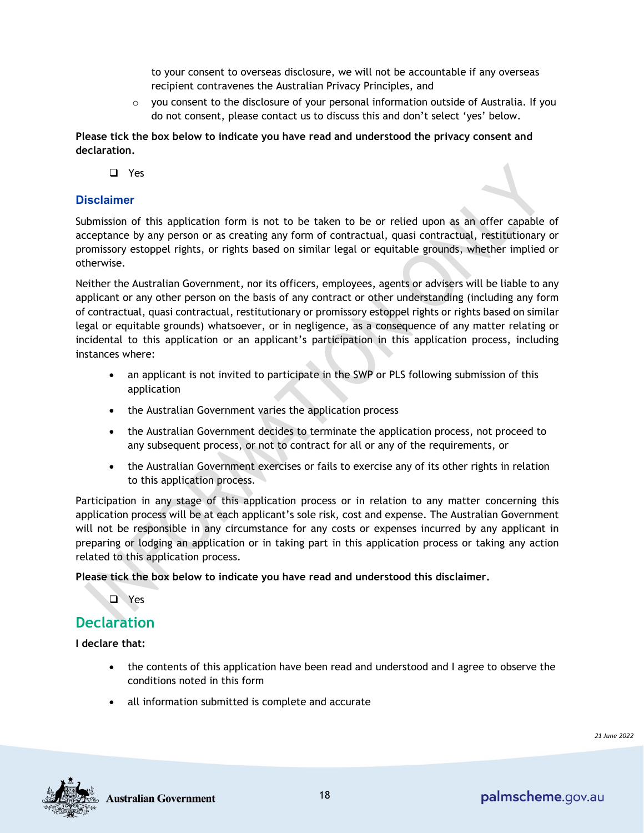to your consent to overseas disclosure, we will not be accountable if any overseas recipient contravenes the Australian Privacy Principles, and

 $\circ$  you consent to the disclosure of your personal information outside of Australia. If you do not consent, please contact us to discuss this and don't select 'yes' below.

**Please tick the box below to indicate you have read and understood the privacy consent and declaration.**

□ Yes

#### **Disclaimer**

Submission of this application form is not to be taken to be or relied upon as an offer capable of acceptance by any person or as creating any form of contractual, quasi contractual, restitutionary or promissory estoppel rights, or rights based on similar legal or equitable grounds, whether implied or otherwise.

Neither the Australian Government, nor its officers, employees, agents or advisers will be liable to any applicant or any other person on the basis of any contract or other understanding (including any form of contractual, quasi contractual, restitutionary or promissory estoppel rights or rights based on similar legal or equitable grounds) whatsoever, or in negligence, as a consequence of any matter relating or incidental to this application or an applicant's participation in this application process, including instances where:

- an applicant is not invited to participate in the SWP or PLS following submission of this application
- the Australian Government varies the application process
- the Australian Government decides to terminate the application process, not proceed to any subsequent process, or not to contract for all or any of the requirements, or
- the Australian Government exercises or fails to exercise any of its other rights in relation to this application process*.*

Participation in any stage of this application process or in relation to any matter concerning this application process will be at each applicant's sole risk, cost and expense. The Australian Government will not be responsible in any circumstance for any costs or expenses incurred by any applicant in preparing or lodging an application or in taking part in this application process or taking any action related to this application process.

**Please tick the box below to indicate you have read and understood this disclaimer.**

**D** Yes

### **Declaration**

**I declare that:** 

- the contents of this application have been read and understood and I agree to observe the conditions noted in this form
- all information submitted is complete and accurate